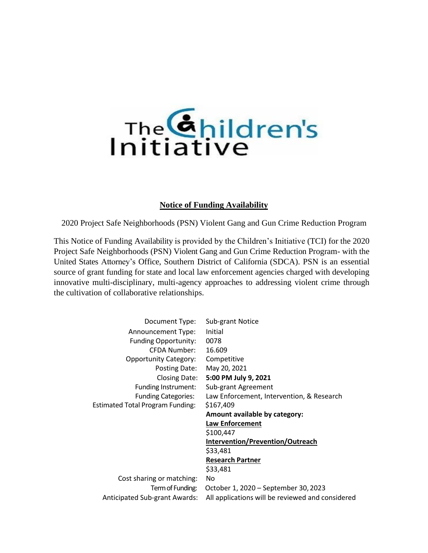# The *Children's*

#### **Notice of Funding Availability**

2020 Project Safe Neighborhoods (PSN) Violent Gang and Gun Crime Reduction Program

This Notice of Funding Availability is provided by the Children's Initiative (TCI) for the 2020 Project Safe Neighborhoods (PSN) Violent Gang and Gun Crime Reduction Program- with the United States Attorney's Office, Southern District of California (SDCA). PSN is an essential source of grant funding for state and local law enforcement agencies charged with developing innovative multi-disciplinary, multi-agency approaches to addressing violent crime through the cultivation of collaborative relationships.

| Document Type:                          | Sub-grant Notice                          |
|-----------------------------------------|-------------------------------------------|
| Announcement Type:                      | Initial                                   |
| <b>Funding Opportunity:</b>             | 0078                                      |
| CFDA Number:                            | 16.609                                    |
| <b>Opportunity Category:</b>            | Competitive                               |
| Posting Date:                           | May 20, 2021                              |
| <b>Closing Date:</b>                    | 5:00 PM July 9, 2021                      |
| Funding Instrument:                     | Sub-grant Agreement                       |
| <b>Funding Categories:</b>              | Law Enforcement, Intervention, & Research |
| <b>Estimated Total Program Funding:</b> | \$167,409                                 |
|                                         |                                           |
|                                         | Amount available by category:             |
|                                         | Law Enforcement                           |
|                                         | \$100,447                                 |
|                                         | Intervention/Prevention/Outreach          |
|                                         | \$33,481                                  |
|                                         | <b>Research Partner</b>                   |
|                                         | \$33,481                                  |
| Cost sharing or matching:               | No                                        |
| Term of Funding:                        | October 1, 2020 - September 30, 2023      |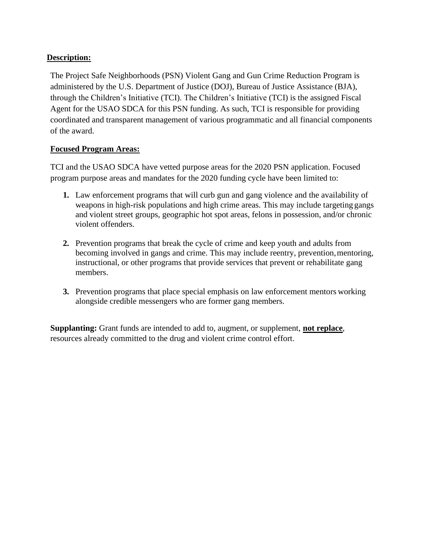## **Description:**

The Project Safe Neighborhoods (PSN) Violent Gang and Gun Crime Reduction Program is administered by the U.S. Department of Justice (DOJ), Bureau of Justice Assistance (BJA), through the Children's Initiative (TCI). The Children's Initiative (TCI) is the assigned Fiscal Agent for the USAO SDCA for this PSN funding. As such, TCI is responsible for providing coordinated and transparent management of various programmatic and all financial components of the award.

## **Focused Program Areas:**

TCI and the USAO SDCA have vetted purpose areas for the 2020 PSN application. Focused program purpose areas and mandates for the 2020 funding cycle have been limited to:

- **1.** Law enforcement programs that will curb gun and gang violence and the availability of weapons in high-risk populations and high crime areas. This may include targeting gangs and violent street groups, geographic hot spot areas, felons in possession, and/or chronic violent offenders.
- **2.** Prevention programs that break the cycle of crime and keep youth and adults from becoming involved in gangs and crime. This may include reentry, prevention, mentoring, instructional, or other programs that provide services that prevent or rehabilitate gang members.
- **3.** Prevention programs that place special emphasis on law enforcement mentors working alongside credible messengers who are former gang members.

**Supplanting:** Grant funds are intended to add to, augment, or supplement, **not replace**, resources already committed to the drug and violent crime control effort.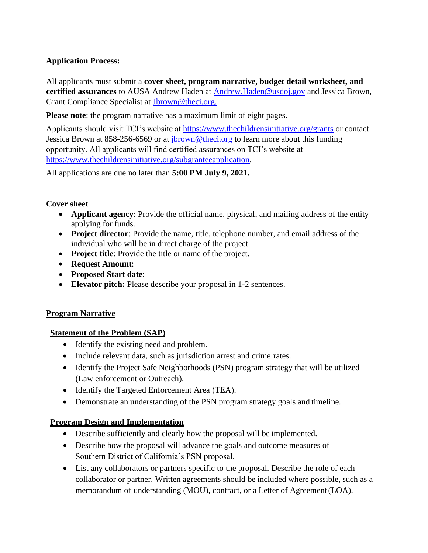# **Application Process:**

All applicants must submit a **cover sheet, program narrative, budget detail worksheet, and certified assurances** to AUSA Andrew Haden at [Andrew.Haden@usdoj.gov](mailto:Andrew.Haden@usdoj.gov) and Jessica Brown, Grant Compliance Specialist at [Jbrown@theci.org.](mailto:Jbrown@theci.org)

**Please note**: the program narrative has a maximum limit of eight pages.

Applicants should visit TCI's website at<https://www.thechildrensinitiative.org/grants> or contact Jessica Brown at 858-256-6569 or at [jbrown@theci.org t](mailto:jbrown@theci.org)o learn more about this funding opportunity. All applicants will find certified assurances on TCI's website at [https://www.thechildrensinitiative.org/subgranteeapplication.](https://www.thechildrensinitiative.org/subgranteeapplication)

All applications are due no later than **5:00 PM July 9, 2021.**

# **Cover sheet**

- **Applicant agency**: Provide the official name, physical, and mailing address of the entity applying for funds.
- **Project director**: Provide the name, title, telephone number, and email address of the individual who will be in direct charge of the project.
- **Project title**: Provide the title or name of the project.
- **Request Amount**:
- **Proposed Start date**:
- **Elevator pitch:** Please describe your proposal in 1-2 sentences.

# **Program Narrative**

## **Statement of the Problem (SAP)**

- Identify the existing need and problem.
- Include relevant data, such as jurisdiction arrest and crime rates.
- Identify the Project Safe Neighborhoods (PSN) program strategy that will be utilized (Law enforcement or Outreach).
- Identify the Targeted Enforcement Area (TEA).
- Demonstrate an understanding of the PSN program strategy goals and timeline.

# **Program Design and Implementation**

- Describe sufficiently and clearly how the proposal will be implemented.
- Describe how the proposal will advance the goals and outcome measures of Southern District of California's PSN proposal.
- List any collaborators or partners specific to the proposal. Describe the role of each collaborator or partner. Written agreements should be included where possible, such as a memorandum of understanding (MOU), contract, or a Letter of Agreement (LOA).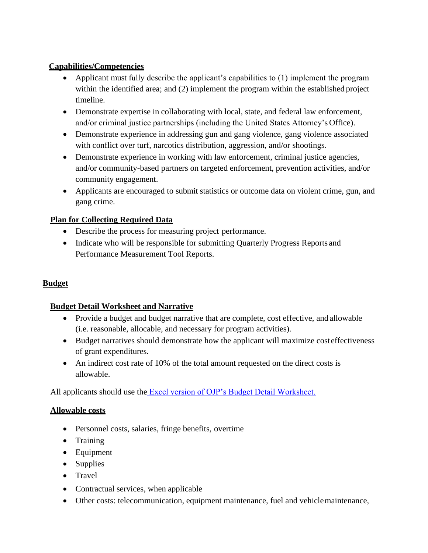## **Capabilities/Competencies**

- Applicant must fully describe the applicant's capabilities to (1) implement the program within the identified area; and (2) implement the program within the established project timeline.
- Demonstrate expertise in collaborating with local, state, and federal law enforcement, and/or criminal justice partnerships (including the United States Attorney's Office).
- Demonstrate experience in addressing gun and gang violence, gang violence associated with conflict over turf, narcotics distribution, aggression, and/or shootings.
- Demonstrate experience in working with law enforcement, criminal justice agencies, and/or community-based partners on targeted enforcement, prevention activities, and/or community engagement.
- Applicants are encouraged to submit statistics or outcome data on violent crime, gun, and gang crime.

# **Plan for Collecting Required Data**

- Describe the process for measuring project performance.
- Indicate who will be responsible for submitting Quarterly Progress Reports and Performance Measurement Tool Reports.

# **Budget**

# **Budget Detail Worksheet and Narrative**

- Provide a budget and budget narrative that are complete, cost effective, and allowable (i.e. reasonable, allocable, and necessary for program activities).
- Budget narratives should demonstrate how the applicant will maximize costeffectiveness of grant expenditures.
- An indirect cost rate of 10% of the total amount requested on the direct costs is allowable.

All applicants should use the [Excel version of OJP's Budget Detail Worksheet.](https://ojp.gov/funding/Apply/Forms/BudgetDetailWorksheet/BDW.XLSM)

## **Allowable costs**

- Personnel costs, salaries, fringe benefits, overtime
- Training
- Equipment
- Supplies
- Travel
- Contractual services, when applicable
- Other costs: telecommunication, equipment maintenance, fuel and vehiclemaintenance,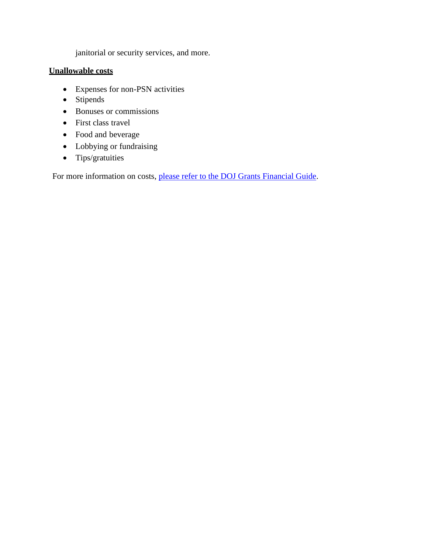janitorial or security services, and more.

# **Unallowable costs**

- Expenses for non-PSN activities
- Stipends
- Bonuses or commissions
- First class travel
- Food and beverage
- Lobbying or fundraising
- Tips/gratuities

For more information on costs, [please refer to the DOJ Grants Financial Guide.](https://www.ojp.gov/financialguide/doj/pdfs/DOJ_FinancialGuide.pdf)